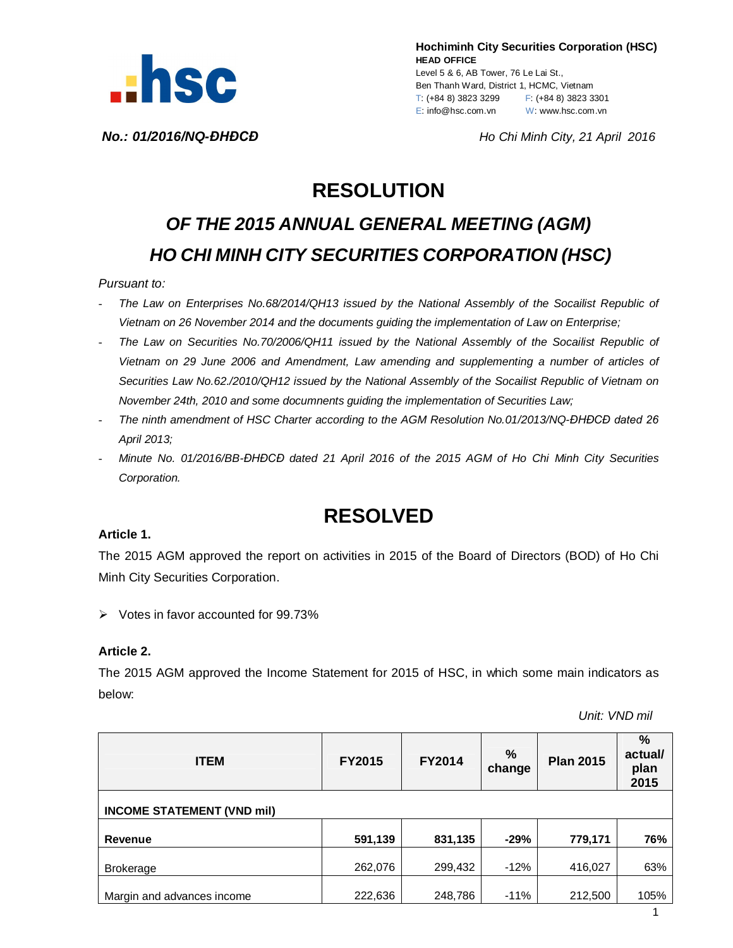

**Hochiminh City Securities Corporation (HSC) HEAD OFFICE** Level 5 & 6, AB Tower, 76 Le Lai St., Ben Thanh Ward, District 1, HCMC, Vietnam T: (+84 8) 3823 3299 F: (+84 8) 3823 3301 E: info@hsc.com.vn W: www.hsc.com.vn

*No.: 01/2016/NQ-ĐHĐCĐ Ho Chi Minh City, 21 April 2016*

## **RESOLUTION**

# *OF THE 2015 ANNUAL GENERAL MEETING (AGM) HO CHI MINH CITY SECURITIES CORPORATION (HSC)*

#### *Pursuant to:*

- *The Law on Enterprises No.68/2014/QH13 issued by the National Assembly of the Socailist Republic of Vietnam on 26 November 2014 and the documents guiding the implementation of Law on Enterprise;*
- *The Law on Securities No.70/2006/QH11 issued by the National Assembly of the Socailist Republic of Vietnam on 29 June 2006 and Amendment, Law amending and supplementing a number of articles of Securities Law No.62./2010/QH12 issued by the National Assembly of the Socailist Republic of Vietnam on November 24th, 2010 and some documnents guiding the implementation of Securities Law;*
- *The ninth amendment of HSC Charter according to the AGM Resolution No.01/2013/NQ-ĐHĐCĐ dated 26 April 2013;*
- *Minute No. 01/2016/BB-ĐHĐCĐ dated 21 April 2016 of the 2015 AGM of Ho Chi Minh City Securities Corporation.*

### **RESOLVED**

#### **Article 1.**

The 2015 AGM approved the report on activities in 2015 of the Board of Directors (BOD) of Ho Chi Minh City Securities Corporation.

 $\triangleright$  Votes in favor accounted for 99.73%

#### **Article 2.**

The 2015 AGM approved the Income Statement for 2015 of HSC, in which some main indicators as below:

 *Unit: VND mil*

| <b>ITEM</b>                       | FY2015  | <b>FY2014</b> | %<br>change | <b>Plan 2015</b> | $\frac{9}{6}$<br>actual/<br>plan<br>2015 |  |  |  |  |
|-----------------------------------|---------|---------------|-------------|------------------|------------------------------------------|--|--|--|--|
| <b>INCOME STATEMENT (VND mil)</b> |         |               |             |                  |                                          |  |  |  |  |
| Revenue                           | 591,139 | 831,135       | $-29%$      | 779,171          | 76%                                      |  |  |  |  |
| <b>Brokerage</b>                  | 262,076 | 299,432       | $-12%$      | 416,027          | 63%                                      |  |  |  |  |
| Margin and advances income        | 222,636 | 248,786       | $-11%$      | 212,500          | 105%                                     |  |  |  |  |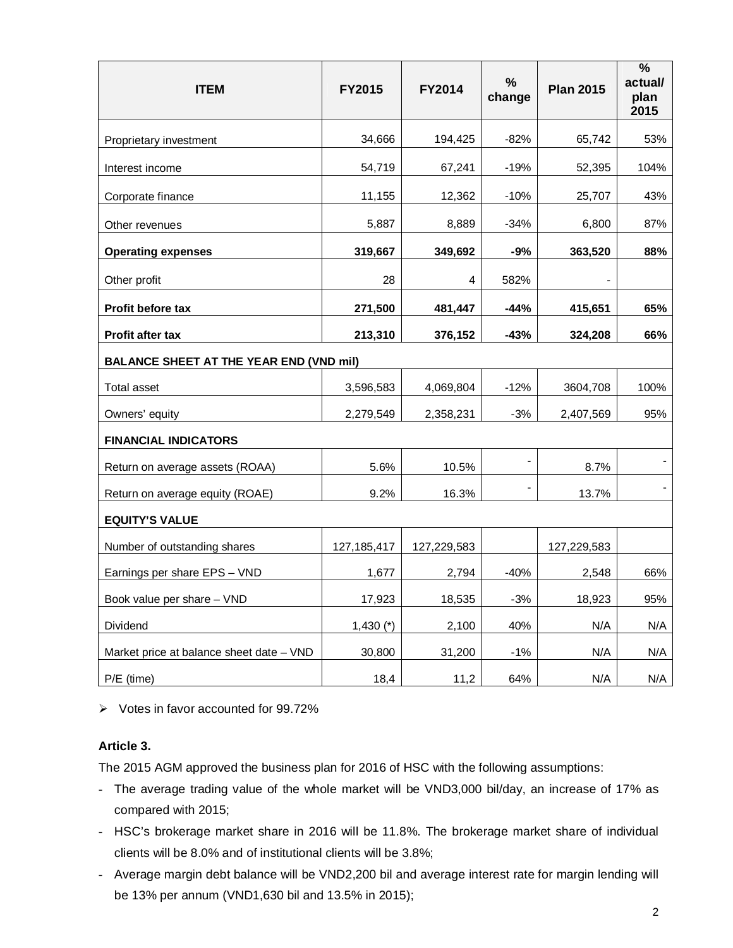| <b>ITEM</b>                                    | FY2015        | FY2014      | $\frac{0}{0}$<br>change | <b>Plan 2015</b> | $\frac{0}{0}$<br>actual/<br>plan<br>2015 |  |  |  |
|------------------------------------------------|---------------|-------------|-------------------------|------------------|------------------------------------------|--|--|--|
| Proprietary investment                         | 34,666        | 194,425     | $-82%$                  | 65,742           | 53%                                      |  |  |  |
| Interest income                                | 54,719        | 67,241      | $-19%$                  | 52,395           | 104%                                     |  |  |  |
| Corporate finance                              | 11,155        | 12,362      | $-10%$                  | 25,707           | 43%                                      |  |  |  |
| Other revenues                                 | 5,887         | 8,889       | $-34%$                  | 6,800            | 87%                                      |  |  |  |
| <b>Operating expenses</b>                      | 319,667       | 349,692     | -9%                     | 363,520          | 88%                                      |  |  |  |
| Other profit                                   | 28            | 4           | 582%                    |                  |                                          |  |  |  |
| <b>Profit before tax</b>                       | 271,500       | 481,447     | $-44%$                  | 415,651          | 65%                                      |  |  |  |
| Profit after tax                               | 213,310       | 376,152     | -43%                    | 324,208          | 66%                                      |  |  |  |
| <b>BALANCE SHEET AT THE YEAR END (VND mil)</b> |               |             |                         |                  |                                          |  |  |  |
| Total asset                                    | 3,596,583     | 4,069,804   | $-12%$                  | 3604,708         | 100%                                     |  |  |  |
| Owners' equity                                 | 2,279,549     | 2,358,231   | $-3%$                   | 2,407,569        | 95%                                      |  |  |  |
| <b>FINANCIAL INDICATORS</b>                    |               |             |                         |                  |                                          |  |  |  |
| Return on average assets (ROAA)                | 5.6%          | 10.5%       |                         | 8.7%             |                                          |  |  |  |
| Return on average equity (ROAE)                | 9.2%          | 16.3%       |                         | 13.7%            |                                          |  |  |  |
| <b>EQUITY'S VALUE</b>                          |               |             |                         |                  |                                          |  |  |  |
| Number of outstanding shares                   | 127, 185, 417 | 127,229,583 |                         | 127,229,583      |                                          |  |  |  |
| Earnings per share EPS - VND                   | 1,677         | 2,794       | $-40%$                  | 2,548            | 66%                                      |  |  |  |
| Book value per share - VND                     | 17,923        | 18,535      | $-3%$                   | 18,923           | 95%                                      |  |  |  |
| Dividend                                       | $1,430$ (*)   | 2,100       | 40%                     | N/A              | N/A                                      |  |  |  |
| Market price at balance sheet date - VND       | 30,800        | 31,200      | $-1\%$                  | N/A              | N/A                                      |  |  |  |
| $P/E$ (time)                                   | 18,4          | 11,2        | 64%                     | N/A              | N/A                                      |  |  |  |

 $\triangleright$  Votes in favor accounted for 99.72%

#### **Article 3.**

The 2015 AGM approved the business plan for 2016 of HSC with the following assumptions:

- The average trading value of the whole market will be VND3,000 bil/day, an increase of 17% as compared with 2015;
- HSC's brokerage market share in 2016 will be 11.8%. The brokerage market share of individual clients will be 8.0% and of institutional clients will be 3.8%;
- Average margin debt balance will be VND2,200 bil and average interest rate for margin lending will be 13% per annum (VND1,630 bil and 13.5% in 2015);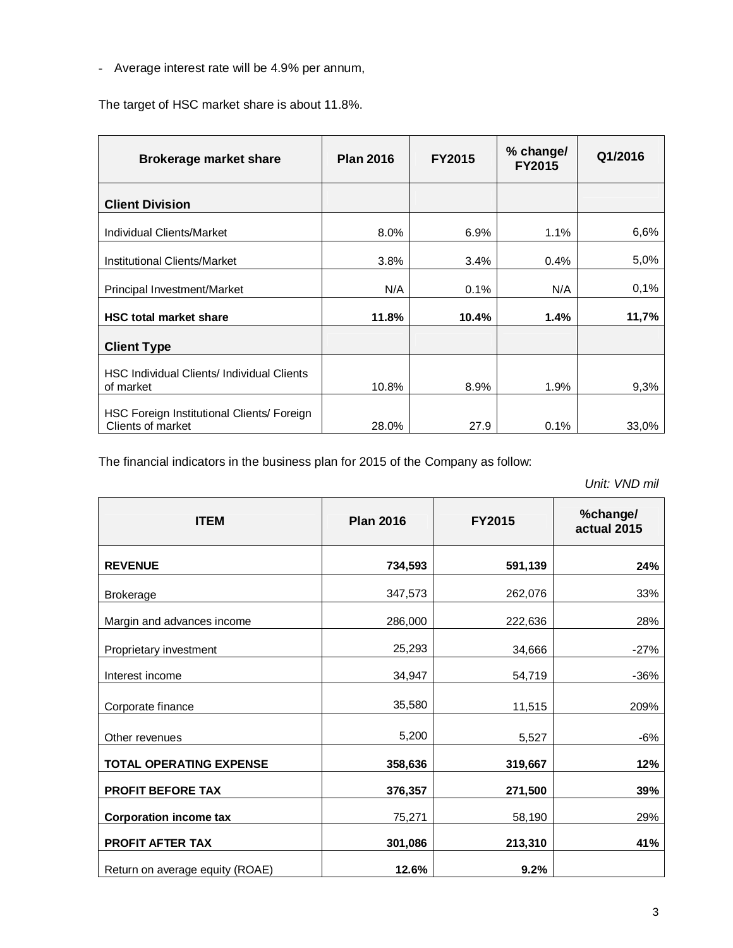- Average interest rate will be 4.9% per annum,

The target of HSC market share is about 11.8%.

| <b>Brokerage market share</b>                                   | <b>Plan 2016</b> | <b>FY2015</b> | % change/<br><b>FY2015</b> | Q1/2016 |
|-----------------------------------------------------------------|------------------|---------------|----------------------------|---------|
| <b>Client Division</b>                                          |                  |               |                            |         |
| Individual Clients/Market                                       | 8.0%             | 6.9%          | $1.1\%$                    | 6,6%    |
| Institutional Clients/Market                                    | 3.8%             | 3.4%          | 0.4%                       | 5,0%    |
| Principal Investment/Market                                     | N/A              | 0.1%          | N/A                        | 0,1%    |
| <b>HSC total market share</b>                                   | 11.8%            | 10.4%         | 1.4%                       | 11,7%   |
| <b>Client Type</b>                                              |                  |               |                            |         |
| HSC Individual Clients/ Individual Clients<br>of market         | 10.8%            | 8.9%          | 1.9%                       | 9,3%    |
| HSC Foreign Institutional Clients/ Foreign<br>Clients of market | 28.0%            | 27.9          | 0.1%                       | 33,0%   |

The financial indicators in the business plan for 2015 of the Company as follow:

 *Unit: VND mil*

| <b>ITEM</b>                     | <b>Plan 2016</b> | <b>FY2015</b> | %change/<br>actual 2015 |
|---------------------------------|------------------|---------------|-------------------------|
| <b>REVENUE</b>                  | 734,593          | 591,139       | 24%                     |
| <b>Brokerage</b>                | 347,573          | 262,076       | 33%                     |
| Margin and advances income      | 286,000          | 222,636       | 28%                     |
| Proprietary investment          | 25,293           | 34,666        | $-27%$                  |
| Interest income                 | 34,947           | 54,719        | $-36%$                  |
| Corporate finance               | 35,580           | 11,515        | 209%                    |
| Other revenues                  | 5,200            | 5,527         | -6%                     |
| <b>TOTAL OPERATING EXPENSE</b>  | 358,636          | 319,667       | 12%                     |
| <b>PROFIT BEFORE TAX</b>        | 376,357          | 271,500       | 39%                     |
| <b>Corporation income tax</b>   | 75,271           | 58,190        | 29%                     |
| PROFIT AFTER TAX                | 301,086          | 213,310       | 41%                     |
| Return on average equity (ROAE) | 12.6%            | 9.2%          |                         |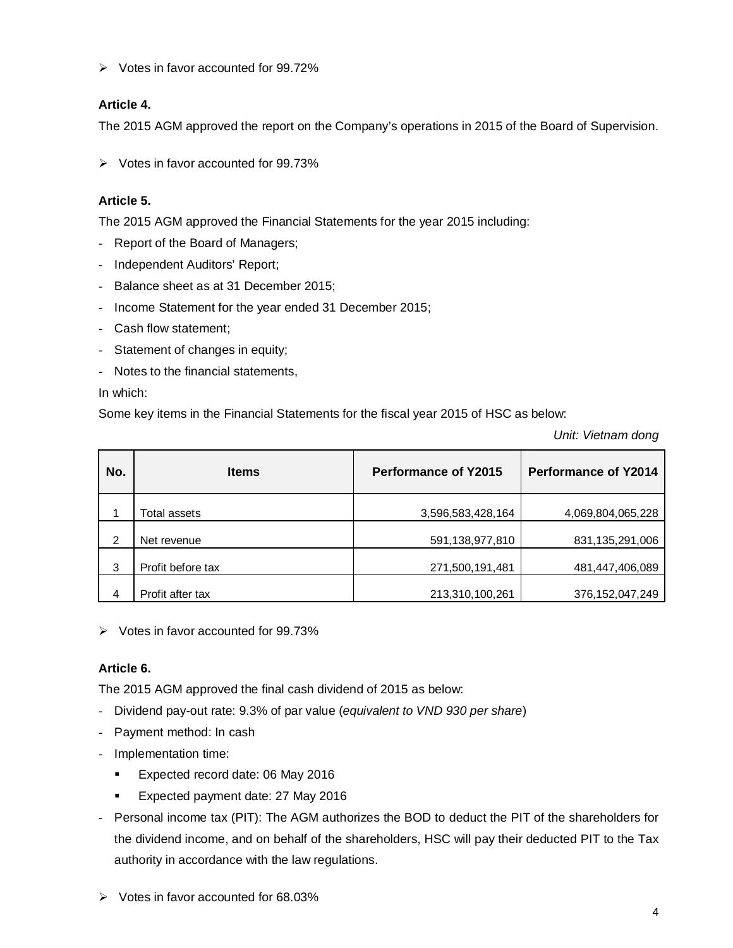$\triangleright$  Votes in favor accounted for 99.72%

#### **Article 4.**

The 2015 AGM approved the report on the Company's operations in 2015 of the Board of Supervision.

 $\triangleright$  Votes in favor accounted for 99.73%

#### **Article 5.**

The 2015 AGM approved the Financial Statements for the year 2015 including:

- Report of the Board of Managers;
- Independent Auditors' Report;
- Balance sheet as at 31 December 2015;
- Income Statement for the year ended 31 December 2015;
- Cash flow statement;
- Statement of changes in equity;
- Notes to the financial statements,

In which:

Some key items in the Financial Statements for the fiscal year 2015 of HSC as below:

*Unit: Vietnam dong*

| No. | <b>Items</b>      | <b>Performance of Y2015</b> | <b>Performance of Y2014</b> |  |
|-----|-------------------|-----------------------------|-----------------------------|--|
|     | Total assets      | 3,596,583,428,164           | 4,069,804,065,228           |  |
| 2   | Net revenue       | 591,138,977,810             | 831,135,291,006             |  |
| 3   | Profit before tax | 271,500,191,481             | 481,447,406,089             |  |
| 4   | Profit after tax  | 213,310,100,261             | 376,152,047,249             |  |

 $\triangleright$  Votes in favor accounted for 99.73%

#### **Article 6.**

The 2015 AGM approved the final cash dividend of 2015 as below:

- Dividend pay-out rate: 9.3% of par value (*equivalent to VND 930 per share*)
- Payment method: In cash
- Implementation time:
	- **Expected record date: 06 May 2016**
	- Expected payment date: 27 May 2016
- Personal income tax (PIT): The AGM authorizes the BOD to deduct the PIT of the shareholders for the dividend income, and on behalf of the shareholders, HSC will pay their deducted PIT to the Tax authority in accordance with the law regulations.
- $\triangleright$  Votes in favor accounted for 68.03%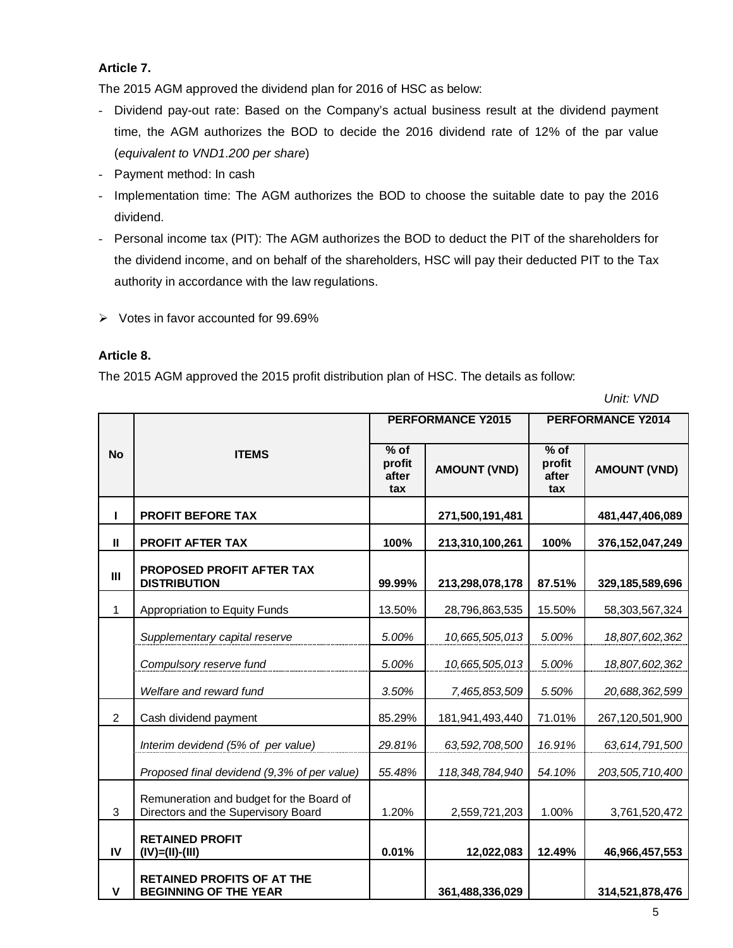#### **Article 7.**

The 2015 AGM approved the dividend plan for 2016 of HSC as below:

- Dividend pay-out rate: Based on the Company's actual business result at the dividend payment time, the AGM authorizes the BOD to decide the 2016 dividend rate of 12% of the par value (*equivalent to VND1.200 per share*)
- Payment method: In cash
- Implementation time: The AGM authorizes the BOD to choose the suitable date to pay the 2016 dividend.
- Personal income tax (PIT): The AGM authorizes the BOD to deduct the PIT of the shareholders for the dividend income, and on behalf of the shareholders, HSC will pay their deducted PIT to the Tax authority in accordance with the law regulations.
- $\triangleright$  Votes in favor accounted for 99.69%

#### **Article 8.**

The 2015 AGM approved the 2015 profit distribution plan of HSC. The details as follow:

 *Unit: VND*

|                |                                                                                 |                                              | <b>PERFORMANCE Y2015</b> | <b>PERFORMANCE Y2014</b>         |                     |
|----------------|---------------------------------------------------------------------------------|----------------------------------------------|--------------------------|----------------------------------|---------------------|
| <b>No</b>      | <b>ITEMS</b>                                                                    | $\overline{\%}$ of<br>profit<br>after<br>tax | <b>AMOUNT (VND)</b>      | $%$ of<br>profit<br>after<br>tax | <b>AMOUNT (VND)</b> |
| L              | <b>PROFIT BEFORE TAX</b>                                                        |                                              | 271,500,191,481          |                                  | 481,447,406,089     |
| $\mathbf{I}$   | <b>PROFIT AFTER TAX</b>                                                         | 100%                                         | 213,310,100,261          | 100%                             | 376, 152, 047, 249  |
| III            | <b>PROPOSED PROFIT AFTER TAX</b><br><b>DISTRIBUTION</b>                         | 99.99%                                       | 213,298,078,178          | 87.51%                           | 329,185,589,696     |
| 1              | Appropriation to Equity Funds                                                   | 13.50%                                       | 28,796,863,535           | 15.50%                           | 58,303,567,324      |
|                | Supplementary capital reserve                                                   | 5.00%                                        | 10,665,505,013           | 5.00%                            | 18,807,602,362      |
|                | Compulsory reserve fund                                                         | 5.00%                                        | 10,665,505,013           | 5.00%                            | 18,807,602,362      |
|                | Welfare and reward fund                                                         | 3.50%                                        | 7,465,853,509            | 5.50%                            | 20,688,362,599      |
| $\overline{2}$ | Cash dividend payment                                                           | 85.29%                                       | 181,941,493,440          | 71.01%                           | 267,120,501,900     |
|                | Interim devidend (5% of per value)                                              | 29.81%                                       | 63,592,708,500           | 16.91%                           | 63,614,791,500      |
|                | Proposed final devidend (9,3% of per value)                                     | 55.48%                                       | 118, 348, 784, 940       | 54.10%                           | 203,505,710,400     |
| 3              | Remuneration and budget for the Board of<br>Directors and the Supervisory Board | 1.20%                                        | 2,559,721,203            | 1.00%                            | 3,761,520,472       |
| IV             | <b>RETAINED PROFIT</b><br>$(IV)=(II)-(III)$                                     | 0.01%                                        | 12,022,083               | 12.49%                           | 46,966,457,553      |
| V              | <b>RETAINED PROFITS OF AT THE</b><br><b>BEGINNING OF THE YEAR</b>               |                                              | 361,488,336,029          |                                  | 314,521,878,476     |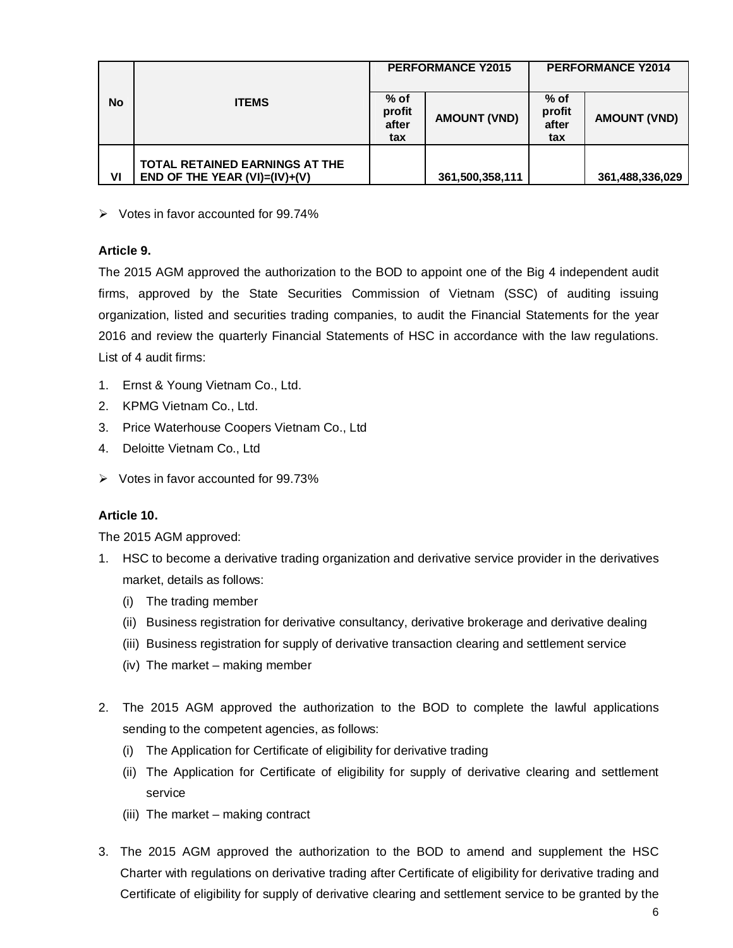|           |                                                                              |                                  | <b>PERFORMANCE Y2015</b> | <b>PERFORMANCE Y2014</b>       |                     |
|-----------|------------------------------------------------------------------------------|----------------------------------|--------------------------|--------------------------------|---------------------|
| <b>No</b> | <b>ITEMS</b>                                                                 | $%$ of<br>profit<br>after<br>tax | <b>AMOUNT (VND)</b>      | % of<br>profit<br>after<br>tax | <b>AMOUNT (VND)</b> |
| VI        | <b>TOTAL RETAINED EARNINGS AT THE</b><br>END OF THE YEAR $(VI) = (IV) + (V)$ |                                  | 361,500,358,111          |                                | 361,488,336,029     |

 $\triangleright$  Votes in favor accounted for 99.74%

#### **Article 9.**

The 2015 AGM approved the authorization to the BOD to appoint one of the Big 4 independent audit firms, approved by the State Securities Commission of Vietnam (SSC) of auditing issuing organization, listed and securities trading companies, to audit the Financial Statements for the year 2016 and review the quarterly Financial Statements of HSC in accordance with the law regulations. List of 4 audit firms:

- 1. Ernst & Young Vietnam Co., Ltd.
- 2. KPMG Vietnam Co., Ltd.
- 3. Price Waterhouse Coopers Vietnam Co., Ltd
- 4. Deloitte Vietnam Co., Ltd
- $\triangleright$  Votes in favor accounted for 99.73%

#### **Article 10.**

The 2015 AGM approved:

- 1. HSC to become a derivative trading organization and derivative service provider in the derivatives market, details as follows:
	- (i) The trading member
	- (ii) Business registration for derivative consultancy, derivative brokerage and derivative dealing
	- (iii) Business registration for supply of derivative transaction clearing and settlement service
	- (iv) The market making member
- 2. The 2015 AGM approved the authorization to the BOD to complete the lawful applications sending to the competent agencies, as follows:
	- (i) The Application for Certificate of eligibility for derivative trading
	- (ii) The Application for Certificate of eligibility for supply of derivative clearing and settlement service
	- (iii) The market making contract
- 3. The 2015 AGM approved the authorization to the BOD to amend and supplement the HSC Charter with regulations on derivative trading after Certificate of eligibility for derivative trading and Certificate of eligibility for supply of derivative clearing and settlement service to be granted by the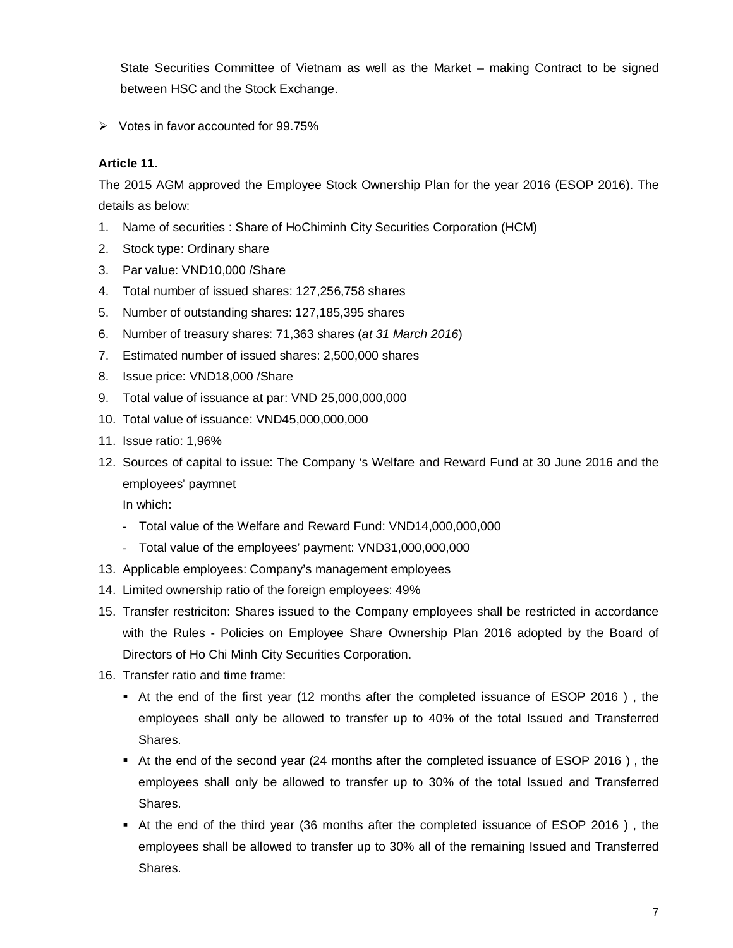State Securities Committee of Vietnam as well as the Market – making Contract to be signed between HSC and the Stock Exchange.

 $\triangleright$  Votes in favor accounted for 99.75%

#### **Article 11.**

The 2015 AGM approved the Employee Stock Ownership Plan for the year 2016 (ESOP 2016). The details as below:

- 1. Name of securities : Share of HoChiminh City Securities Corporation (HCM)
- 2. Stock type: Ordinary share
- 3. Par value: VND10,000 /Share
- 4. Total number of issued shares: 127,256,758 shares
- 5. Number of outstanding shares: 127,185,395 shares
- 6. Number of treasury shares: 71,363 shares (*at 31 March 2016*)
- 7. Estimated number of issued shares: 2,500,000 shares
- 8. Issue price: VND18,000 /Share
- 9. Total value of issuance at par: VND 25,000,000,000
- 10. Total value of issuance: VND45,000,000,000
- 11. Issue ratio: 1,96%
- 12. Sources of capital to issue: The Company 's Welfare and Reward Fund at 30 June 2016 and the employees' paymnet

In which:

- Total value of the Welfare and Reward Fund: VND14,000,000,000
- Total value of the employees' payment: VND31,000,000,000
- 13. Applicable employees: Company's management employees
- 14. Limited ownership ratio of the foreign employees: 49%
- 15. Transfer restriciton: Shares issued to the Company employees shall be restricted in accordance with the Rules - Policies on Employee Share Ownership Plan 2016 adopted by the Board of Directors of Ho Chi Minh City Securities Corporation.
- 16. Transfer ratio and time frame:
	- At the end of the first year (12 months after the completed issuance of ESOP 2016 ) , the employees shall only be allowed to transfer up to 40% of the total Issued and Transferred Shares.
	- At the end of the second year (24 months after the completed issuance of ESOP 2016 ) , the employees shall only be allowed to transfer up to 30% of the total Issued and Transferred Shares.
	- At the end of the third year (36 months after the completed issuance of ESOP 2016 ) , the employees shall be allowed to transfer up to 30% all of the remaining Issued and Transferred Shares.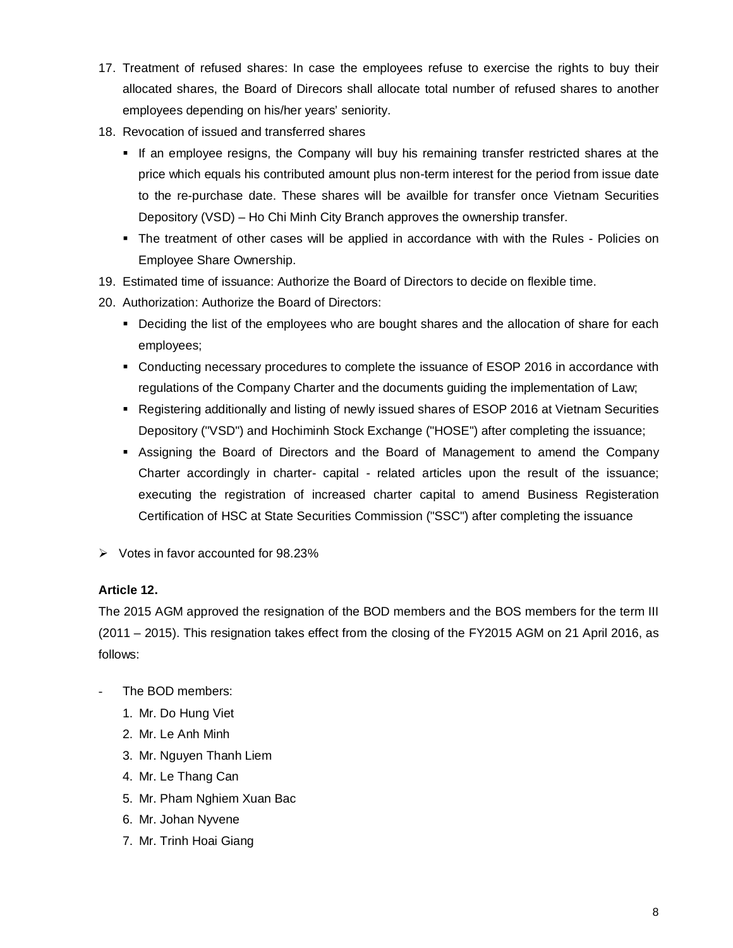- 17. Treatment of refused shares: In case the employees refuse to exercise the rights to buy their allocated shares, the Board of Direcors shall allocate total number of refused shares to another employees depending on his/her years' seniority.
- 18. Revocation of issued and transferred shares
	- If an employee resigns, the Company will buy his remaining transfer restricted shares at the price which equals his contributed amount plus non-term interest for the period from issue date to the re-purchase date. These shares will be availble for transfer once Vietnam Securities Depository (VSD) – Ho Chi Minh City Branch approves the ownership transfer.
	- The treatment of other cases will be applied in accordance with with the Rules Policies on Employee Share Ownership.
- 19. Estimated time of issuance: Authorize the Board of Directors to decide on flexible time.
- 20. Authorization: Authorize the Board of Directors:
	- **Deciding the list of the employees who are bought shares and the allocation of share for each** employees;
	- Conducting necessary procedures to complete the issuance of ESOP 2016 in accordance with regulations of the Company Charter and the documents guiding the implementation of Law;
	- Registering additionally and listing of newly issued shares of ESOP 2016 at Vietnam Securities Depository ("VSD") and Hochiminh Stock Exchange ("HOSE") after completing the issuance;
	- Assigning the Board of Directors and the Board of Management to amend the Company Charter accordingly in charter- capital - related articles upon the result of the issuance; executing the registration of increased charter capital to amend Business Registeration Certification of HSC at State Securities Commission ("SSC") after completing the issuance
- $\triangleright$  Votes in favor accounted for 98.23%

#### **Article 12.**

The 2015 AGM approved the resignation of the BOD members and the BOS members for the term III (2011 – 2015). This resignation takes effect from the closing of the FY2015 AGM on 21 April 2016, as follows:

- The BOD members:
	- 1. Mr. Do Hung Viet
	- 2. Mr. Le Anh Minh
	- 3. Mr. Nguyen Thanh Liem
	- 4. Mr. Le Thang Can
	- 5. Mr. Pham Nghiem Xuan Bac
	- 6. Mr. Johan Nyvene
	- 7. Mr. Trinh Hoai Giang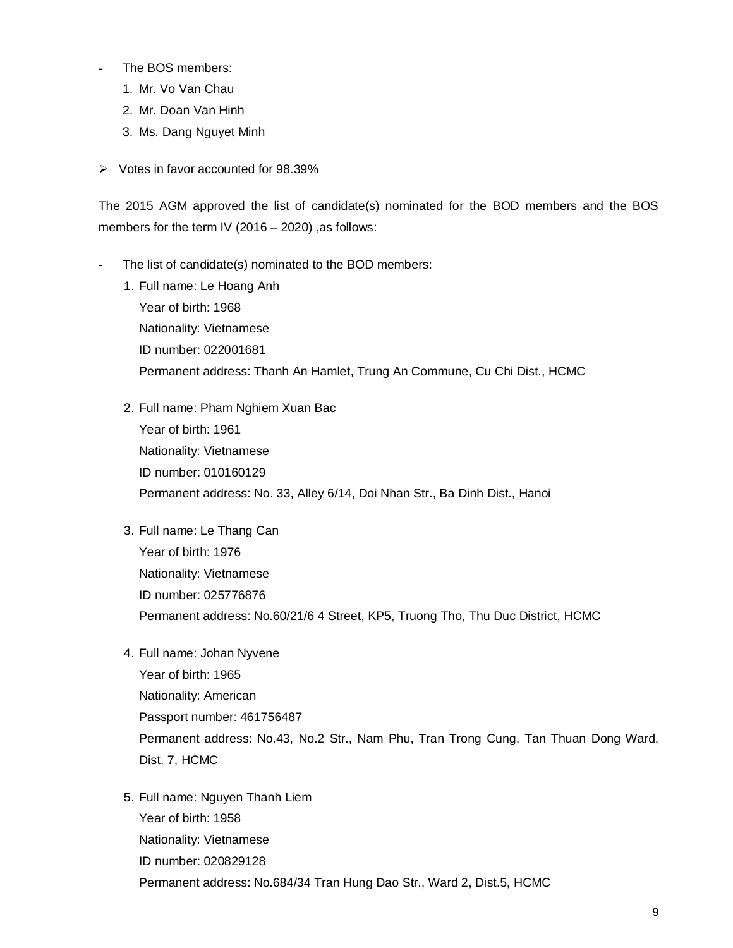- The BOS members:
	- 1. Mr. Vo Van Chau
	- 2. Mr. Doan Van Hinh
	- 3. Ms. Dang Nguyet Minh
- $\triangleright$  Votes in favor accounted for 98.39%

The 2015 AGM approved the list of candidate(s) nominated for the BOD members and the BOS members for the term IV (2016 – 2020) ,as follows:

- The list of candidate(s) nominated to the BOD members:
	- 1. Full name: Le Hoang Anh Year of birth: 1968 Nationality: Vietnamese ID number: 022001681 Permanent address: Thanh An Hamlet, Trung An Commune, Cu Chi Dist., HCMC
	- 2. Full name: Pham Nghiem Xuan Bac Year of birth: 1961 Nationality: Vietnamese ID number: 010160129 Permanent address: No. 33, Alley 6/14, Doi Nhan Str., Ba Dinh Dist., Hanoi
	- 3. Full name: Le Thang Can Year of birth: 1976 Nationality: Vietnamese ID number: 025776876 Permanent address: No.60/21/6 4 Street, KP5, Truong Tho, Thu Duc District, HCMC
	- 4. Full name: Johan Nyvene

Year of birth: 1965 Nationality: American Passport number: 461756487 Permanent address: No.43, No.2 Str., Nam Phu, Tran Trong Cung, Tan Thuan Dong Ward, Dist. 7, HCMC

5. Full name: Nguyen Thanh Liem Year of birth: 1958 Nationality: Vietnamese ID number: 020829128 Permanent address: No.684/34 Tran Hung Dao Str., Ward 2, Dist.5, HCMC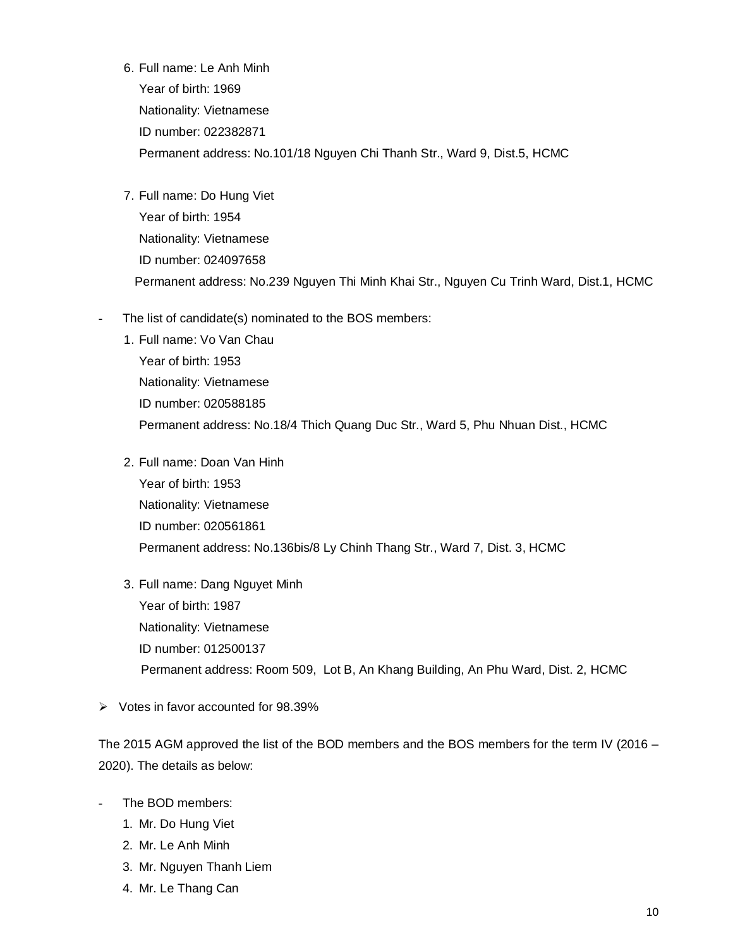6. Full name: Le Anh Minh Year of birth: 1969 Nationality: Vietnamese ID number: 022382871 Permanent address: No.101/18 Nguyen Chi Thanh Str., Ward 9, Dist.5, HCMC

- 7. Full name: Do Hung Viet Year of birth: 1954 Nationality: Vietnamese ID number: 024097658 Permanent address: No.239 Nguyen Thi Minh Khai Str., Nguyen Cu Trinh Ward, Dist.1, HCMC
- The list of candidate(s) nominated to the BOS members:
	- 1. Full name: Vo Van Chau Year of birth: 1953 Nationality: Vietnamese ID number: 020588185 Permanent address: No.18/4 Thich Quang Duc Str., Ward 5, Phu Nhuan Dist., HCMC
	- 2. Full name: Doan Van Hinh Year of birth: 1953 Nationality: Vietnamese ID number: 020561861 Permanent address: No.136bis/8 Ly Chinh Thang Str., Ward 7, Dist. 3, HCMC
	- 3. Full name: Dang Nguyet Minh Year of birth: 1987 Nationality: Vietnamese ID number: 012500137 Permanent address: Room 509, Lot B, An Khang Building, An Phu Ward, Dist. 2, HCMC
- $\triangleright$  Votes in favor accounted for 98.39%

The 2015 AGM approved the list of the BOD members and the BOS members for the term IV (2016 – 2020). The details as below:

- The BOD members:
	- 1. Mr. Do Hung Viet
	- 2. Mr. Le Anh Minh
	- 3. Mr. Nguyen Thanh Liem
	- 4. Mr. Le Thang Can